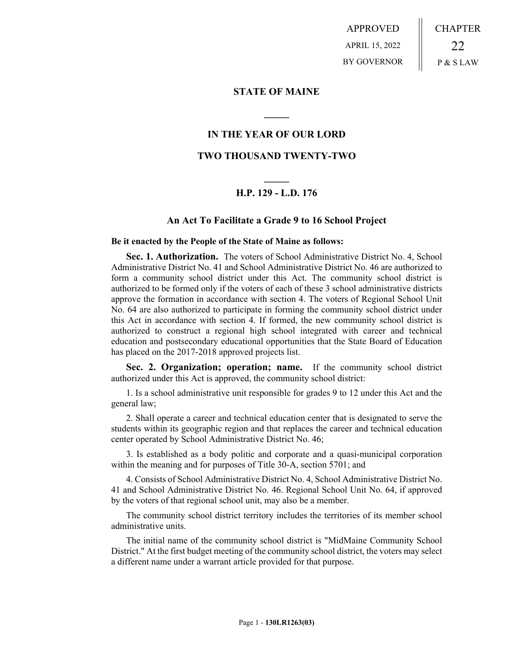APPROVED APRIL 15, 2022 BY GOVERNOR CHAPTER 22 P & S LAW

### **STATE OF MAINE**

## **IN THE YEAR OF OUR LORD**

**\_\_\_\_\_**

### **TWO THOUSAND TWENTY-TWO**

# **\_\_\_\_\_ H.P. 129 - L.D. 176**

## **An Act To Facilitate a Grade 9 to 16 School Project**

#### **Be it enacted by the People of the State of Maine as follows:**

**Sec. 1. Authorization.** The voters of School Administrative District No. 4, School Administrative District No. 41 and School Administrative District No. 46 are authorized to form a community school district under this Act. The community school district is authorized to be formed only if the voters of each of these 3 school administrative districts approve the formation in accordance with section 4. The voters of Regional School Unit No. 64 are also authorized to participate in forming the community school district under this Act in accordance with section 4. If formed, the new community school district is authorized to construct a regional high school integrated with career and technical education and postsecondary educational opportunities that the State Board of Education has placed on the 2017-2018 approved projects list.

**Sec. 2. Organization; operation; name.** If the community school district authorized under this Act is approved, the community school district:

1. Is a school administrative unit responsible for grades 9 to 12 under this Act and the general law;

2. Shall operate a career and technical education center that is designated to serve the students within its geographic region and that replaces the career and technical education center operated by School Administrative District No. 46;

3. Is established as a body politic and corporate and a quasi-municipal corporation within the meaning and for purposes of Title 30-A, section 5701; and

4. Consists of School Administrative District No. 4, School Administrative District No. 41 and School Administrative District No. 46. Regional School Unit No. 64, if approved by the voters of that regional school unit, may also be a member.

The community school district territory includes the territories of its member school administrative units.

The initial name of the community school district is "MidMaine Community School District." At the first budget meeting of the community school district, the voters may select a different name under a warrant article provided for that purpose.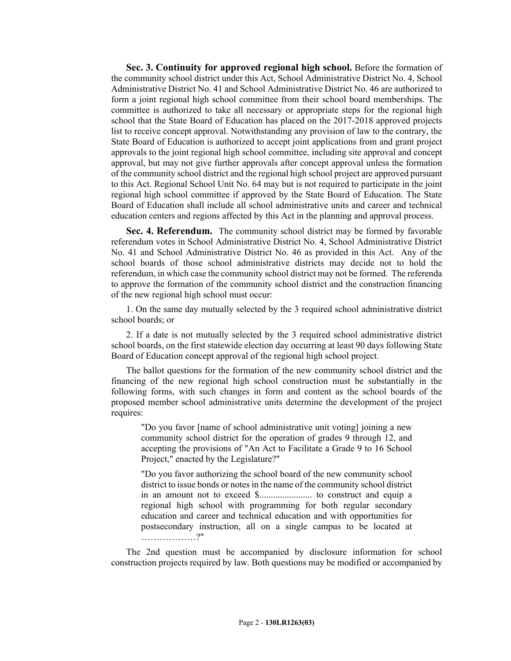**Sec. 3. Continuity for approved regional high school.** Before the formation of the community school district under this Act, School Administrative District No. 4, School Administrative District No. 41 and School Administrative District No. 46 are authorized to form a joint regional high school committee from their school board memberships. The committee is authorized to take all necessary or appropriate steps for the regional high school that the State Board of Education has placed on the 2017-2018 approved projects list to receive concept approval. Notwithstanding any provision of law to the contrary, the State Board of Education is authorized to accept joint applications from and grant project approvals to the joint regional high school committee, including site approval and concept approval, but may not give further approvals after concept approval unless the formation of the community school district and the regional high school project are approved pursuant to this Act. Regional School Unit No. 64 may but is not required to participate in the joint regional high school committee if approved by the State Board of Education. The State Board of Education shall include all school administrative units and career and technical education centers and regions affected by this Act in the planning and approval process.

**Sec. 4. Referendum.** The community school district may be formed by favorable referendum votes in School Administrative District No. 4, School Administrative District No. 41 and School Administrative District No. 46 as provided in this Act. Any of the school boards of those school administrative districts may decide not to hold the referendum, in which case the community school district may not be formed. The referenda to approve the formation of the community school district and the construction financing of the new regional high school must occur:

1. On the same day mutually selected by the 3 required school administrative district school boards; or

2. If a date is not mutually selected by the 3 required school administrative district school boards, on the first statewide election day occurring at least 90 days following State Board of Education concept approval of the regional high school project.

The ballot questions for the formation of the new community school district and the financing of the new regional high school construction must be substantially in the following forms, with such changes in form and content as the school boards of the proposed member school administrative units determine the development of the project requires:

"Do you favor [name of school administrative unit voting] joining a new community school district for the operation of grades 9 through 12, and accepting the provisions of "An Act to Facilitate a Grade 9 to 16 School Project," enacted by the Legislature?"

"Do you favor authorizing the school board of the new community school district to issue bonds or notes in the name of the community school district in an amount not to exceed \$....................... to construct and equip a regional high school with programming for both regular secondary education and career and technical education and with opportunities for postsecondary instruction, all on a single campus to be located at ………………?"

The 2nd question must be accompanied by disclosure information for school construction projects required by law. Both questions may be modified or accompanied by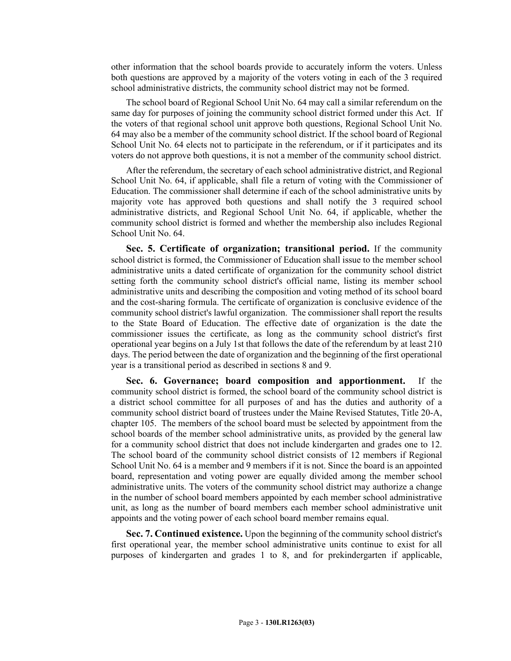other information that the school boards provide to accurately inform the voters. Unless both questions are approved by a majority of the voters voting in each of the 3 required school administrative districts, the community school district may not be formed.

The school board of Regional School Unit No. 64 may call a similar referendum on the same day for purposes of joining the community school district formed under this Act. If the voters of that regional school unit approve both questions, Regional School Unit No. 64 may also be a member of the community school district. If the school board of Regional School Unit No. 64 elects not to participate in the referendum, or if it participates and its voters do not approve both questions, it is not a member of the community school district.

After the referendum, the secretary of each school administrative district, and Regional School Unit No. 64, if applicable, shall file a return of voting with the Commissioner of Education. The commissioner shall determine if each of the school administrative units by majority vote has approved both questions and shall notify the 3 required school administrative districts, and Regional School Unit No. 64, if applicable, whether the community school district is formed and whether the membership also includes Regional School Unit No. 64.

**Sec. 5. Certificate of organization; transitional period.** If the community school district is formed, the Commissioner of Education shall issue to the member school administrative units a dated certificate of organization for the community school district setting forth the community school district's official name, listing its member school administrative units and describing the composition and voting method of its school board and the cost-sharing formula. The certificate of organization is conclusive evidence of the community school district's lawful organization. The commissioner shall report the results to the State Board of Education. The effective date of organization is the date the commissioner issues the certificate, as long as the community school district's first operational year begins on a July 1st that follows the date of the referendum by at least 210 days. The period between the date of organization and the beginning of the first operational year is a transitional period as described in sections 8 and 9.

**Sec. 6. Governance; board composition and apportionment.** If the community school district is formed, the school board of the community school district is a district school committee for all purposes of and has the duties and authority of a community school district board of trustees under the Maine Revised Statutes, Title 20-A, chapter 105. The members of the school board must be selected by appointment from the school boards of the member school administrative units, as provided by the general law for a community school district that does not include kindergarten and grades one to 12. The school board of the community school district consists of 12 members if Regional School Unit No. 64 is a member and 9 members if it is not. Since the board is an appointed board, representation and voting power are equally divided among the member school administrative units. The voters of the community school district may authorize a change in the number of school board members appointed by each member school administrative unit, as long as the number of board members each member school administrative unit appoints and the voting power of each school board member remains equal.

**Sec. 7. Continued existence.** Upon the beginning of the community school district's first operational year, the member school administrative units continue to exist for all purposes of kindergarten and grades 1 to 8, and for prekindergarten if applicable,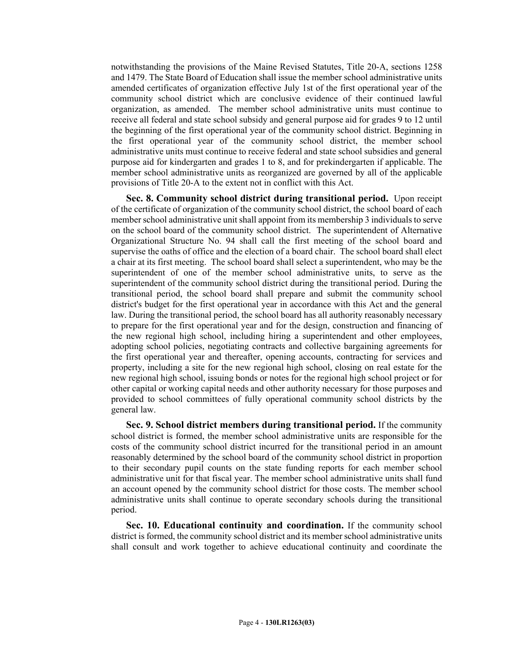notwithstanding the provisions of the Maine Revised Statutes, Title 20-A, sections 1258 and 1479. The State Board of Education shall issue the member school administrative units amended certificates of organization effective July 1st of the first operational year of the community school district which are conclusive evidence of their continued lawful organization, as amended. The member school administrative units must continue to receive all federal and state school subsidy and general purpose aid for grades 9 to 12 until the beginning of the first operational year of the community school district. Beginning in the first operational year of the community school district, the member school administrative units must continue to receive federal and state school subsidies and general purpose aid for kindergarten and grades 1 to 8, and for prekindergarten if applicable. The member school administrative units as reorganized are governed by all of the applicable provisions of Title 20-A to the extent not in conflict with this Act.

**Sec. 8. Community school district during transitional period.** Upon receipt of the certificate of organization of the community school district, the school board of each member school administrative unit shall appoint from its membership 3 individuals to serve on the school board of the community school district. The superintendent of Alternative Organizational Structure No. 94 shall call the first meeting of the school board and supervise the oaths of office and the election of a board chair. The school board shall elect a chair at its first meeting. The school board shall select a superintendent, who may be the superintendent of one of the member school administrative units, to serve as the superintendent of the community school district during the transitional period. During the transitional period, the school board shall prepare and submit the community school district's budget for the first operational year in accordance with this Act and the general law. During the transitional period, the school board has all authority reasonably necessary to prepare for the first operational year and for the design, construction and financing of the new regional high school, including hiring a superintendent and other employees, adopting school policies, negotiating contracts and collective bargaining agreements for the first operational year and thereafter, opening accounts, contracting for services and property, including a site for the new regional high school, closing on real estate for the new regional high school, issuing bonds or notes for the regional high school project or for other capital or working capital needs and other authority necessary for those purposes and provided to school committees of fully operational community school districts by the general law.

**Sec. 9. School district members during transitional period.** If the community school district is formed, the member school administrative units are responsible for the costs of the community school district incurred for the transitional period in an amount reasonably determined by the school board of the community school district in proportion to their secondary pupil counts on the state funding reports for each member school administrative unit for that fiscal year. The member school administrative units shall fund an account opened by the community school district for those costs. The member school administrative units shall continue to operate secondary schools during the transitional period.

**Sec. 10. Educational continuity and coordination.** If the community school district is formed, the community school district and its member school administrative units shall consult and work together to achieve educational continuity and coordinate the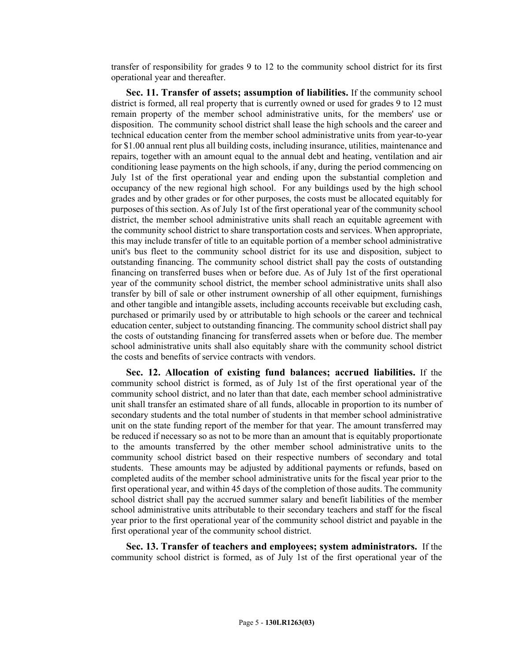transfer of responsibility for grades 9 to 12 to the community school district for its first operational year and thereafter.

**Sec. 11. Transfer of assets; assumption of liabilities.** If the community school district is formed, all real property that is currently owned or used for grades 9 to 12 must remain property of the member school administrative units, for the members' use or disposition. The community school district shall lease the high schools and the career and technical education center from the member school administrative units from year-to-year for \$1.00 annual rent plus all building costs, including insurance, utilities, maintenance and repairs, together with an amount equal to the annual debt and heating, ventilation and air conditioning lease payments on the high schools, if any, during the period commencing on July 1st of the first operational year and ending upon the substantial completion and occupancy of the new regional high school. For any buildings used by the high school grades and by other grades or for other purposes, the costs must be allocated equitably for purposes of this section. As of July 1st of the first operational year of the community school district, the member school administrative units shall reach an equitable agreement with the community school district to share transportation costs and services. When appropriate, this may include transfer of title to an equitable portion of a member school administrative unit's bus fleet to the community school district for its use and disposition, subject to outstanding financing. The community school district shall pay the costs of outstanding financing on transferred buses when or before due. As of July 1st of the first operational year of the community school district, the member school administrative units shall also transfer by bill of sale or other instrument ownership of all other equipment, furnishings and other tangible and intangible assets, including accounts receivable but excluding cash, purchased or primarily used by or attributable to high schools or the career and technical education center, subject to outstanding financing. The community school district shall pay the costs of outstanding financing for transferred assets when or before due. The member school administrative units shall also equitably share with the community school district the costs and benefits of service contracts with vendors.

**Sec. 12. Allocation of existing fund balances; accrued liabilities.** If the community school district is formed, as of July 1st of the first operational year of the community school district, and no later than that date, each member school administrative unit shall transfer an estimated share of all funds, allocable in proportion to its number of secondary students and the total number of students in that member school administrative unit on the state funding report of the member for that year. The amount transferred may be reduced if necessary so as not to be more than an amount that is equitably proportionate to the amounts transferred by the other member school administrative units to the community school district based on their respective numbers of secondary and total students. These amounts may be adjusted by additional payments or refunds, based on completed audits of the member school administrative units for the fiscal year prior to the first operational year, and within 45 days of the completion of those audits. The community school district shall pay the accrued summer salary and benefit liabilities of the member school administrative units attributable to their secondary teachers and staff for the fiscal year prior to the first operational year of the community school district and payable in the first operational year of the community school district.

**Sec. 13. Transfer of teachers and employees; system administrators.** If the community school district is formed, as of July 1st of the first operational year of the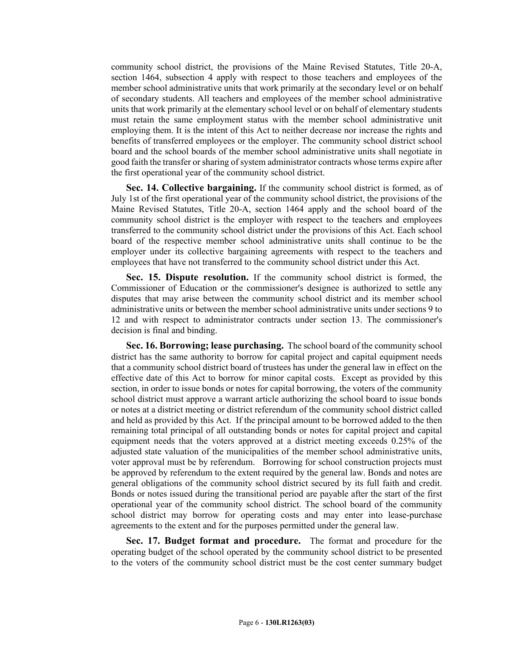community school district, the provisions of the Maine Revised Statutes, Title 20-A, section 1464, subsection 4 apply with respect to those teachers and employees of the member school administrative units that work primarily at the secondary level or on behalf of secondary students. All teachers and employees of the member school administrative units that work primarily at the elementary school level or on behalf of elementary students must retain the same employment status with the member school administrative unit employing them. It is the intent of this Act to neither decrease nor increase the rights and benefits of transferred employees or the employer. The community school district school board and the school boards of the member school administrative units shall negotiate in good faith the transfer or sharing of system administrator contracts whose terms expire after the first operational year of the community school district.

**Sec. 14. Collective bargaining.** If the community school district is formed, as of July 1st of the first operational year of the community school district, the provisions of the Maine Revised Statutes, Title 20-A, section 1464 apply and the school board of the community school district is the employer with respect to the teachers and employees transferred to the community school district under the provisions of this Act. Each school board of the respective member school administrative units shall continue to be the employer under its collective bargaining agreements with respect to the teachers and employees that have not transferred to the community school district under this Act.

**Sec. 15. Dispute resolution.** If the community school district is formed, the Commissioner of Education or the commissioner's designee is authorized to settle any disputes that may arise between the community school district and its member school administrative units or between the member school administrative units under sections 9 to 12 and with respect to administrator contracts under section 13. The commissioner's decision is final and binding.

**Sec. 16. Borrowing; lease purchasing.** The school board of the community school district has the same authority to borrow for capital project and capital equipment needs that a community school district board of trustees has under the general law in effect on the effective date of this Act to borrow for minor capital costs. Except as provided by this section, in order to issue bonds or notes for capital borrowing, the voters of the community school district must approve a warrant article authorizing the school board to issue bonds or notes at a district meeting or district referendum of the community school district called and held as provided by this Act. If the principal amount to be borrowed added to the then remaining total principal of all outstanding bonds or notes for capital project and capital equipment needs that the voters approved at a district meeting exceeds 0.25% of the adjusted state valuation of the municipalities of the member school administrative units, voter approval must be by referendum. Borrowing for school construction projects must be approved by referendum to the extent required by the general law. Bonds and notes are general obligations of the community school district secured by its full faith and credit. Bonds or notes issued during the transitional period are payable after the start of the first operational year of the community school district. The school board of the community school district may borrow for operating costs and may enter into lease-purchase agreements to the extent and for the purposes permitted under the general law.

**Sec. 17. Budget format and procedure.** The format and procedure for the operating budget of the school operated by the community school district to be presented to the voters of the community school district must be the cost center summary budget